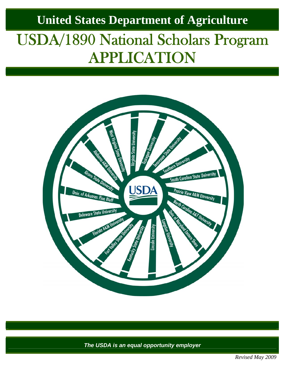## **United States Department of Agriculture**

## USDA/1890 National Scholars Program APPLICATION



*The USDA is an equal opportunity employer* 

*Revised May 2009*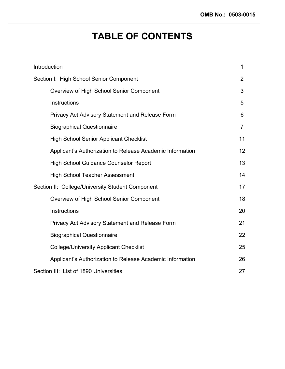### **TABLE OF CONTENTS**

| Introduction                                              | 1              |
|-----------------------------------------------------------|----------------|
| Section I: High School Senior Component                   | $\overline{2}$ |
| Overview of High School Senior Component                  | 3              |
| Instructions                                              | 5              |
| Privacy Act Advisory Statement and Release Form           | 6              |
| <b>Biographical Questionnaire</b>                         | $\overline{7}$ |
| <b>High School Senior Applicant Checklist</b>             | 11             |
| Applicant's Authorization to Release Academic Information | 12             |
| <b>High School Guidance Counselor Report</b>              | 13             |
| <b>High School Teacher Assessment</b>                     | 14             |
| Section II: College/University Student Component          | 17             |
| Overview of High School Senior Component                  | 18             |
| Instructions                                              | 20             |
| Privacy Act Advisory Statement and Release Form           | 21             |
| <b>Biographical Questionnaire</b>                         | 22             |
| <b>College/University Applicant Checklist</b>             | 25             |
| Applicant's Authorization to Release Academic Information | 26             |
| Section III: List of 1890 Universities                    | 27             |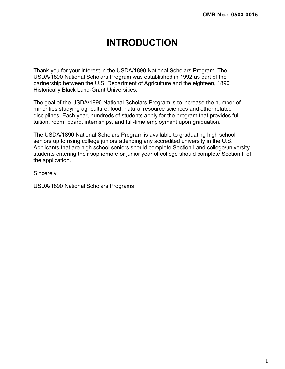### **INTRODUCTION**

Thank you for your interest in the USDA/1890 National Scholars Program. The USDA/1890 National Scholars Program was established in 1992 as part of the partnership between the U.S. Department of Agriculture and the eighteen, 1890 Historically Black Land-Grant Universities.

The goal of the USDA/1890 National Scholars Program is to increase the number of minorities studying agriculture, food, natural resource sciences and other related disciplines. Each year, hundreds of students apply for the program that provides full tuition, room, board, internships, and full-time employment upon graduation.

The USDA/1890 National Scholars Program is available to graduating high school seniors up to rising college juniors attending any accredited university in the U.S. Applicants that are high school seniors should complete Section I and college/university students entering their sophomore or junior year of college should complete Section II of the application.

Sincerely,

USDA/1890 National Scholars Programs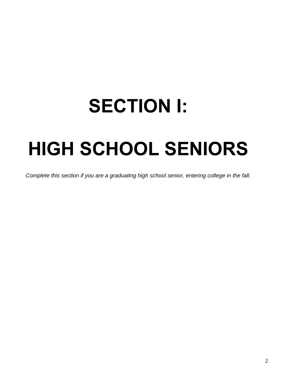## **SECTION I:**

## **HIGH SCHOOL SENIORS**

*Complete this section if you are a graduating high school senior, entering college in the fall.*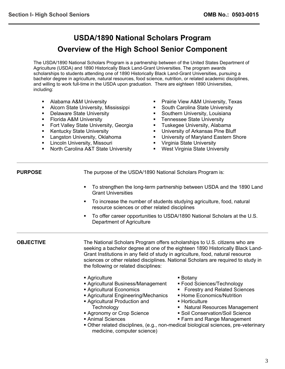#### **USDA/1890 National Scholars Program Overview of the High School Senior Component**

The USDA/1890 National Scholars Program is a partnership between of the United States Department of Agriculture (USDA) and 1890 Historically Black Land-Grant Universities. The program awards scholarships to students attending one of 1890 Historically Black Land-Grant Universities, pursuing a bachelor degree in agriculture, natural resources, food science, nutrition, or related academic disciplines, and willing to work full-time in the USDA upon graduation. There are eighteen 1890 Universities, including:

- Alabama A&M University
- **Alcorn State University, Mississippi**
- **-** Delaware State University
- Florida A&M University
- **Fort Valley State University, Georgia**
- **Kentucky State University**
- **Langston University, Oklahoma**
- **EXECUTE:** Lincoln University, Missouri
- North Carolina A&T State University
- **Prairie View A&M University, Texas**
- **South Carolina State University**
- **Southern University, Louisiana**
- Tennessee State University
- **Tuskegee University, Alabama**
- **University of Arkansas Pine Bluff**
- **University of Maryland Eastern Shore**
- **Virginia State University**
- **West Virginia State University**

**PURPOSE** The purpose of the USDA/1890 National Scholars Program is:

- To strengthen the long-term partnership between USDA and the 1890 Land Grant Universities
- To increase the number of students studying agriculture, food, natural resource sciences or other related disciplines
- To offer career opportunities to USDA/1890 National Scholars at the U.S. Department of Agriculture

**OBJECTIVE** The National Scholars Program offers scholarships to U.S. citizens who are seeking a bachelor degree at one of the eighteen 1890 Historically Black Land-Grant Institutions in any field of study in agriculture, food, natural resource sciences or other related disciplines. National Scholars are required to study in the following or related disciplines:

- Agriculture
- Agricultural Business/Management
- Agricultural Economics
- Agricultural Engineering/Mechanics
- Agricultural Production and **Technology**
- **Agronomy or Crop Science**
- Animal Sciences
- Other related disciplines, (e.g., non-medical biological sciences, pre-veterinary medicine, computer science)
- Botany
- Food Sciences/Technology
- **Forestry and Related Sciences**
- **Example Economics/Nutrition**
- Horticulture
- Natural Resources Management
- Soil Conservation/Soil Science
- **Farm and Range Management**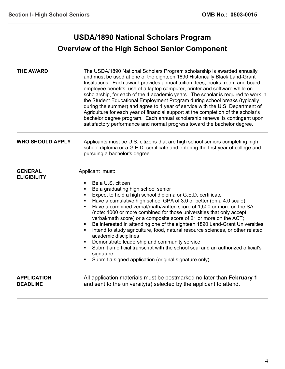l

#### **USDA/1890 National Scholars Program Overview of the High School Senior Component**

| <b>THE AWARD</b>                      | The USDA/1890 National Scholars Program scholarship is awarded annually<br>and must be used at one of the eighteen 1890 Historically Black Land-Grant<br>Institutions. Each award provides annual tuition, fees, books, room and board,<br>employee benefits, use of a laptop computer, printer and software while on<br>scholarship, for each of the 4 academic years. The scholar is required to work in<br>the Student Educational Employment Program during school breaks (typically<br>during the summer) and agree to 1 year of service with the U.S. Department of<br>Agriculture for each year of financial support at the completion of the scholar's<br>bachelor degree program. Each annual scholarship renewal is contingent upon<br>satisfactory performance and normal progress toward the bachelor degree.                                                                                                   |
|---------------------------------------|-----------------------------------------------------------------------------------------------------------------------------------------------------------------------------------------------------------------------------------------------------------------------------------------------------------------------------------------------------------------------------------------------------------------------------------------------------------------------------------------------------------------------------------------------------------------------------------------------------------------------------------------------------------------------------------------------------------------------------------------------------------------------------------------------------------------------------------------------------------------------------------------------------------------------------|
| <b>WHO SHOULD APPLY</b>               | Applicants must be U.S. citizens that are high school seniors completing high<br>school diploma or a G.E.D. certificate and entering the first year of college and<br>pursuing a bachelor's degree.                                                                                                                                                                                                                                                                                                                                                                                                                                                                                                                                                                                                                                                                                                                         |
| <b>GENERAL</b><br><b>ELIGIBILITY</b>  | Applicant must:<br>Be a U.S. citizen<br>$\blacksquare$<br>Be a graduating high school senior<br>٠<br>Expect to hold a high school diploma or G.E.D. certificate<br>٠<br>Have a cumulative high school GPA of 3.0 or better (on a 4.0 scale)<br>٠<br>Have a combined verbal/math/written score of 1,500 or more on the SAT<br>٠<br>(note: 1000 or more combined for those universities that only accept<br>verbal/math score) or a composite score of 21 or more on the ACT;<br>Be interested in attending one of the eighteen 1890 Land-Grant Universities<br>$\blacksquare$<br>Intend to study agriculture, food, natural resource sciences, or other related<br>٠<br>academic disciplines<br>Demonstrate leadership and community service<br>Submit an official transcript with the school seal and an authorized official's<br>$\blacksquare$<br>signature<br>Submit a signed application (original signature only)<br>٠ |
| <b>APPLICATION</b><br><b>DEADLINE</b> | All application materials must be postmarked no later than February 1<br>and sent to the university(s) selected by the applicant to attend.                                                                                                                                                                                                                                                                                                                                                                                                                                                                                                                                                                                                                                                                                                                                                                                 |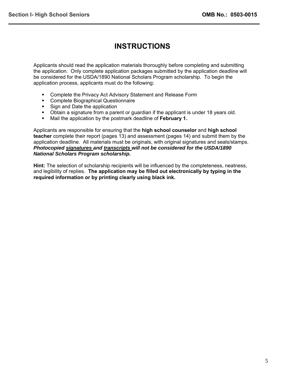#### **INSTRUCTIONS**

Applicants should read the application materials thoroughly before completing and submitting the application. Only complete application packages submitted by the application deadline will be considered for the USDA/1890 National Scholars Program scholarship. To begin the application process, applicants must do the following:

- **Complete the Privacy Act Advisory Statement and Release Form**
- **Complete Biographical Questionnaire**
- Sign and Date the application
- Obtain a signature from a parent or guardian if the applicant is under 18 years old.
- Mail the application by the postmark deadline of **February 1.**

Applicants are responsible for ensuring that the **high school counselor** and **high school teacher** complete their report (pages 13) and assessment (pages 14) and submit them by the application deadline. All materials must be originals, with original signatures and seals/stamps. *Photocopied signatures and transcripts will not be considered for the USDA/1890 National Scholars Program scholarship.*

**Hint:** The selection of scholarship recipients will be influenced by the completeness, neatness, and legibility of replies. **The application may be filled out electronically by typing in the required information or by printing clearly using black ink.**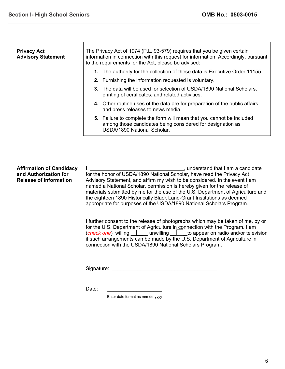| <b>Privacy Act</b><br><b>Advisory Statement</b> | The Privacy Act of 1974 (P.L. 93-579) requires that you be given certain<br>information in connection with this request for information. Accordingly, pursuant<br>to the requirements for the Act, please be advised: |                                                                                                                                                                    |  |
|-------------------------------------------------|-----------------------------------------------------------------------------------------------------------------------------------------------------------------------------------------------------------------------|--------------------------------------------------------------------------------------------------------------------------------------------------------------------|--|
|                                                 |                                                                                                                                                                                                                       | 1. The authority for the collection of these data is Executive Order 11155.                                                                                        |  |
|                                                 |                                                                                                                                                                                                                       | 2. Furnishing the information requested is voluntary.                                                                                                              |  |
|                                                 |                                                                                                                                                                                                                       | 3. The data will be used for selection of USDA/1890 National Scholars,<br>printing of certificates, and related activities.                                        |  |
|                                                 |                                                                                                                                                                                                                       | 4. Other routine uses of the data are for preparation of the public affairs<br>and press releases to news media.                                                   |  |
|                                                 |                                                                                                                                                                                                                       | 5. Failure to complete the form will mean that you cannot be included<br>among those candidates being considered for designation as<br>USDA/1890 National Scholar. |  |
|                                                 |                                                                                                                                                                                                                       |                                                                                                                                                                    |  |

**Affirmation of Candidacy and Authorization for Release of Information**  I, \_\_\_\_\_\_\_\_\_\_\_\_\_\_\_\_\_\_\_\_\_\_\_\_\_\_\_\_\_\_\_\_\_, understand that I am a candidate for the honor of USDA/1890 National Scholar, have read the Privacy Act Advisory Statement, and affirm my wish to be considered. In the event I am named a National Scholar, permission is hereby given for the release of materials submitted by me for the use of the U.S. Department of Agriculture and the eighteen 1890 Historically Black Land-Grant Institutions as deemed appropriate for purposes of the USDA/1890 National Scholars Program.

> I further consent to the release of photographs which may be taken of me, by or for the U.S. Department of Agriculture in connection with the Program. I am (*check one*) willing <u>| unwilling</u> | to appear on radio and/or television if such arrangements can be made by the U.S. Department of Agriculture in connection with the USDA/1890 National Scholars Program.

Signature: \_\_\_\_\_\_\_\_\_\_\_\_\_\_\_\_\_\_\_\_\_\_\_\_\_\_\_\_\_\_\_\_\_\_\_\_\_

Date:

Enter date format as mm-dd-yyyy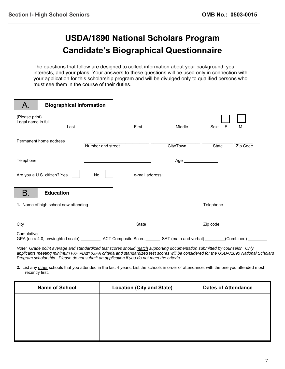#### **USDA/1890 National Scholars Program Candidate's Biographical Questionnaire**

The questions that follow are designed to collect information about your background, your interests, and your plans. Your answers to these questions will be used only in connection with your application for this scholarship program and will be divulged only to qualified persons who must see them in the course of their duties.

| A.             | <b>Biographical Information</b>                                                                                     |                                                       |                 |                                                                                                                        |           |          |
|----------------|---------------------------------------------------------------------------------------------------------------------|-------------------------------------------------------|-----------------|------------------------------------------------------------------------------------------------------------------------|-----------|----------|
| (Please print) | Last                                                                                                                |                                                       | First           | Middle                                                                                                                 | Sex:<br>F | M        |
|                | Permanent home address                                                                                              | Number and street                                     |                 | City/Town                                                                                                              | State     | Zip Code |
| Telephone      |                                                                                                                     | <u> 1980 - Jan Stein Harry Stein Berlin (d. 1980)</u> |                 | Age ________________                                                                                                   |           |          |
|                | Are you a U.S. citizen? Yes                                                                                         | No                                                    | e-mail address: | <u> Terminal de la construcción de la construcción de la construcción de la construcción de la construcción de la </u> |           |          |
| В.             | <b>Education</b>                                                                                                    |                                                       |                 |                                                                                                                        |           |          |
|                |                                                                                                                     |                                                       |                 |                                                                                                                        |           |          |
|                |                                                                                                                     |                                                       |                 |                                                                                                                        |           |          |
| Cumulative     | GPA (on a 4.0, unwieghted scale) ____________ ACT Composite Score ________ SAT (math and verbal) ________(Combined) |                                                       |                 |                                                                                                                        |           |          |

*Note: Grade point average and standardized test scores should match supporting documentation submitted by counselor. Only applicants meeting minimum FXPXODWLYHGPA criteria and standardized test scores will be considered for the USDA/1890 National Scholars Program scholarship. Please do not submit an application if you do not meet the criteria.* 

**2.** List any other schools that you attended in the last 4 years. List the schools in order of attendance, with the one you attended most recently first.

| <b>Name of School</b> | <b>Location (City and State)</b> | <b>Dates of Attendance</b> |
|-----------------------|----------------------------------|----------------------------|
|                       |                                  |                            |
|                       |                                  |                            |
|                       |                                  |                            |
|                       |                                  |                            |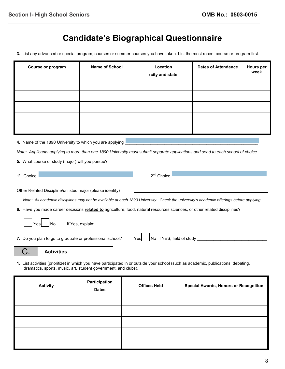## **Candidate's Biographical Questionnaire**

**3.** List any advanced or special program, courses or summer courses you have taken. List the most recent course or program first.

| Course or program                                                                                                                                                                                                                                 | <b>Name of School</b>                                     | Location<br>(city and state                                                                                                             | Dates of Attendance | Hours per<br>week |
|---------------------------------------------------------------------------------------------------------------------------------------------------------------------------------------------------------------------------------------------------|-----------------------------------------------------------|-----------------------------------------------------------------------------------------------------------------------------------------|---------------------|-------------------|
|                                                                                                                                                                                                                                                   |                                                           |                                                                                                                                         |                     |                   |
|                                                                                                                                                                                                                                                   |                                                           |                                                                                                                                         |                     |                   |
|                                                                                                                                                                                                                                                   |                                                           |                                                                                                                                         |                     |                   |
|                                                                                                                                                                                                                                                   |                                                           |                                                                                                                                         |                     |                   |
|                                                                                                                                                                                                                                                   |                                                           |                                                                                                                                         |                     |                   |
| 4. Name of the 1890 University to which you are applying                                                                                                                                                                                          |                                                           |                                                                                                                                         |                     |                   |
| Note: Applicants applying to more than one 1890 University must submit separate applications and send to each school of choice.                                                                                                                   |                                                           |                                                                                                                                         |                     |                   |
| 5. What course of study (major) will you pursue?                                                                                                                                                                                                  |                                                           |                                                                                                                                         |                     |                   |
| 1 <sup>st</sup> Choice                                                                                                                                                                                                                            |                                                           |                                                                                                                                         |                     |                   |
|                                                                                                                                                                                                                                                   | Other Related Discipline/unlisted major (please identify) |                                                                                                                                         |                     |                   |
|                                                                                                                                                                                                                                                   |                                                           | Note: All academic disciplines may not be available at each 1890 University. Check the university's academic offerings before applying. |                     |                   |
| 6. Have you made career decisions related to agriculture, food, natural resources sciences, or other related disciplines?                                                                                                                         |                                                           |                                                                                                                                         |                     |                   |
| If Yes, explain: <u>example and the set of the set of the set of the set of the set of the set of the set of the set of the set of the set of the set of the set of the set of the set of the set of the set of the set of the s</u><br>No<br>Yes |                                                           |                                                                                                                                         |                     |                   |
| 7. Do you plan to go to graduate or professional school?    Yes   No If YES, field of study                                                                                                                                                       |                                                           |                                                                                                                                         |                     |                   |
| <b>Activities</b>                                                                                                                                                                                                                                 |                                                           |                                                                                                                                         |                     |                   |
| 1. List activities (prioritize) in which you have participated in or outside your school (such as academic, publications, debating,<br>dramatics, sports, music, art, student government, and clubs).                                             |                                                           |                                                                                                                                         |                     |                   |

| <b>Activity</b> | Participation<br><b>Dates</b> | <b>Offices Held</b> | <b>Special Awards, Honors or Recognition</b> |
|-----------------|-------------------------------|---------------------|----------------------------------------------|
|                 |                               |                     |                                              |
|                 |                               |                     |                                              |
|                 |                               |                     |                                              |
|                 |                               |                     |                                              |
|                 |                               |                     |                                              |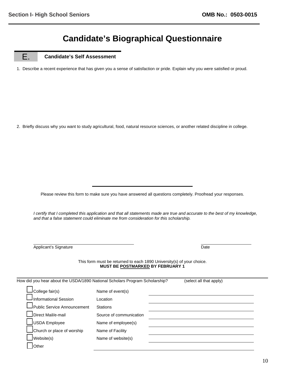#### **Candidate's Biographical Questionnaire**

E. **Candidate's Self Assessment** 

֦

1. Describe a recent experience that has given you a sense of satisfaction or pride. Explain why you were satisfied or proud.

2. Briefly discuss why you want to study agricultural, food, natural resource sciences, or another related discipline in college.

Please review this form to make sure you have answered all questions completely. Proofread your responses.

*I certify that I completed this application and that all statements made are true and accurate to the best of my knowledge, and that a false statement could eliminate me from consideration for this scholarship.* 

| Applicant's Signature | <u> The Communication of the Communication of the Communication of the Communication of the Communication of the Co</u><br>Date |
|-----------------------|---------------------------------------------------------------------------------------------------------------------------------|

l,

This form must be returned to each 1890 University(s) of your choice. **MUST BE POSTMARKED BY FEBRUARY 1** 

| How did you hear about the USDA/1890 National Scholars Program Scholarship? |                         | (select all that apply) |
|-----------------------------------------------------------------------------|-------------------------|-------------------------|
| $\Box$ College fair(s)                                                      | Name of event(s)        |                         |
| $\mathsf{\mathsf{\mathsf{I}}}$ Informational Session                        | Location                |                         |
| Public Service Announcement                                                 | Stations                |                         |
| Direct Mail/e-mail                                                          | Source of communication |                         |
| JUSDA Employee                                                              | Name of employee(s)     |                         |
| Church or place of worship                                                  | Name of Facility        |                         |
| $\vert$ Website(s)                                                          | Name of website(s)      |                         |
| <b>Other</b>                                                                |                         |                         |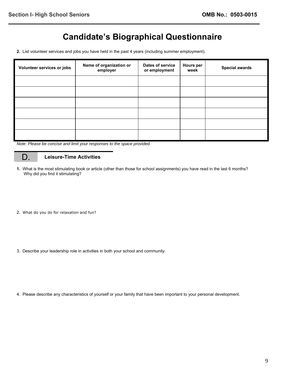### **Candidate's Biographical Questionnaire**

**2.** List volunteer services and jobs you have held in the past 4 years (including summer employment).

| Volunteer services or jobs | Name of organization or<br>employer | Dates of service<br>or employment | <b>Hours per</b><br>week | <b>Special awards</b> |
|----------------------------|-------------------------------------|-----------------------------------|--------------------------|-----------------------|
|                            |                                     |                                   |                          |                       |
|                            |                                     |                                   |                          |                       |
|                            |                                     |                                   |                          |                       |
|                            |                                     |                                   |                          |                       |
|                            |                                     |                                   |                          |                       |
|                            |                                     |                                   |                          |                       |

*Note: Please be concise and limit your responses to the space provided.* 

#### D. **Leisure-Time Activities**

- **1.** What is the most stimulating book or article (other than those for school assignments) you have read in the last 6 months? Why did you find it stimulating?
- 2. What do you do for relaxation and fun?
- 3. Describe your leadership role in activities in both your school and community.

4. Please describe any characteristics of yourself or your family that have been important to your personal development.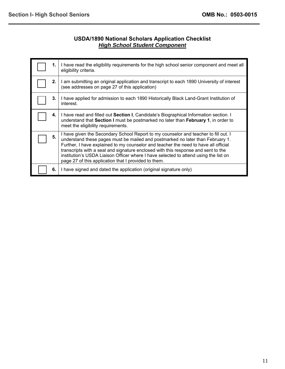#### **USDA/1890 National Scholars Application Checklist**  *High School Student Component*

| 1. | I have read the eligibility requirements for the high school senior component and meet all<br>eligibility criteria.                                                                                                                                                                                                                                                                                                                                                                               |
|----|---------------------------------------------------------------------------------------------------------------------------------------------------------------------------------------------------------------------------------------------------------------------------------------------------------------------------------------------------------------------------------------------------------------------------------------------------------------------------------------------------|
| 2. | I am submitting an original application and transcript to each 1890 University of interest<br>(see addresses on page 27 of this application)                                                                                                                                                                                                                                                                                                                                                      |
| 3. | I have applied for admission to each 1890 Historically Black Land-Grant Institution of<br>interest.                                                                                                                                                                                                                                                                                                                                                                                               |
| 4. | I have read and filled out <b>Section I</b> , Candidate's Biographical Information section. I<br>understand that Section I must be postmarked no later than February 1, in order to<br>meet the eligibility requirements.                                                                                                                                                                                                                                                                         |
| 5. | I have given the Secondary School Report to my counselor and teacher to fill out. I<br>understand these pages must be mailed and postmarked no later than February 1.<br>Further, I have explained to my counselor and teacher the need to have all official<br>transcripts with a seal and signature enclosed with this response and sent to the<br>institution's USDA Liaison Officer where I have selected to attend using the list on<br>page 27 of this application that I provided to them. |
| 6. | I have signed and dated the application (original signature only)                                                                                                                                                                                                                                                                                                                                                                                                                                 |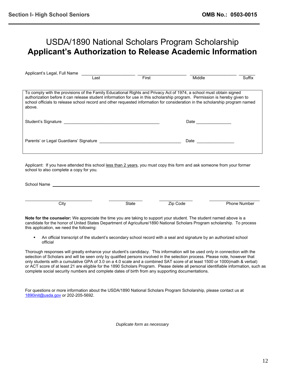#### USDA/1890 National Scholars Program Scholarship **Applicant's Authorization to Release Academic Information**

| Applicant's Legal, Full Name                                                                                                                                                                                                                                                                                                                                                                |      |       |        |        |
|---------------------------------------------------------------------------------------------------------------------------------------------------------------------------------------------------------------------------------------------------------------------------------------------------------------------------------------------------------------------------------------------|------|-------|--------|--------|
|                                                                                                                                                                                                                                                                                                                                                                                             | Last | First | Middle | Suffix |
|                                                                                                                                                                                                                                                                                                                                                                                             |      |       |        |        |
| To comply with the provisions of the Family Educational Rights and Privacy Act of 1974, a school must obtain signed<br>authorization before it can release student information for use in this scholarship program. Permission is hereby given to<br>school officials to release school record and other requested information for consideration in the scholarship program named<br>above. |      |       |        |        |
| Student's Signature                                                                                                                                                                                                                                                                                                                                                                         |      |       | Date   |        |
| Parents' or Legal Guardians' Signature                                                                                                                                                                                                                                                                                                                                                      |      |       | Date   |        |

Applicant: If you have attended this school less than 2 years, you must copy this form and ask someone from your former school to also complete a copy for you.

| School Name |       |          |              |
|-------------|-------|----------|--------------|
|             |       |          |              |
|             |       |          |              |
| City        | State | Zip Code | Phone Number |

**Note for the counselor:** We appreciate the time you are taking to support your student. The student named above is a candidate for the honor of United States Department of Agriculture/1890 National Scholars Program scholarship. To process this application, we need the following:

 An official transcript of the student's secondary school record with a seal and signature by an authorized school official

Thorough responses will greatly enhance your student's candidacy. This information will be used only in connection with the selection of Scholars and will be seen only by qualified persons involved in the selection process. Please note, however that only students with a cumulative GPA of 3.0 on a 4.0 scale and a combined SAT score of at least 1500 or 1000(math & verbal) or ACT score of at least 21 are eligible for the 1890 Scholars Program. Please delete all personal identifiable information, such as complete social security numbers and complete dates of birth from any supporting documentations.

For questions or more information about the USDA/1890 National Scholars Program Scholarship, please contact us at [1890init@usda.gov](mailto:1890init@usda.gov) or 202-205-5692.

*Duplicate form as necessary*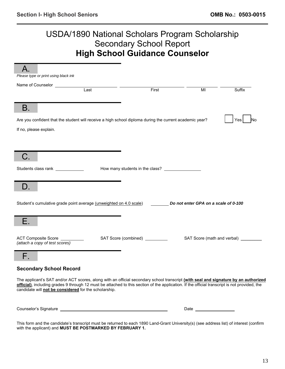#### USDA/1890 National Scholars Program Scholarship Secondary School Report **High School Guidance Counselor**

| Please type or print using black ink                                                                                                                                                                   |                                 |                                       |        |
|--------------------------------------------------------------------------------------------------------------------------------------------------------------------------------------------------------|---------------------------------|---------------------------------------|--------|
|                                                                                                                                                                                                        |                                 |                                       |        |
| Last                                                                                                                                                                                                   | First                           | MI                                    | Suffix |
|                                                                                                                                                                                                        |                                 |                                       |        |
| В.                                                                                                                                                                                                     |                                 |                                       |        |
| Are you confident that the student will receive a high school diploma during the current academic year?                                                                                                |                                 |                                       | Yes    |
| If no, please explain.                                                                                                                                                                                 |                                 |                                       |        |
|                                                                                                                                                                                                        |                                 |                                       |        |
|                                                                                                                                                                                                        |                                 |                                       |        |
|                                                                                                                                                                                                        |                                 |                                       |        |
|                                                                                                                                                                                                        |                                 |                                       |        |
|                                                                                                                                                                                                        |                                 |                                       |        |
| Students class rank ____________                                                                                                                                                                       |                                 |                                       |        |
|                                                                                                                                                                                                        |                                 |                                       |        |
| D.                                                                                                                                                                                                     |                                 |                                       |        |
|                                                                                                                                                                                                        |                                 |                                       |        |
|                                                                                                                                                                                                        |                                 |                                       |        |
| Student's cumulative grade point average (unweighted on 4.0 scale)                                                                                                                                     |                                 | Do not enter GPA on a scale of 0-100  |        |
|                                                                                                                                                                                                        |                                 |                                       |        |
|                                                                                                                                                                                                        |                                 |                                       |        |
|                                                                                                                                                                                                        |                                 |                                       |        |
| ACT Composite Score <b>composition</b>                                                                                                                                                                 | SAT Score (combined) __________ | SAT Score (math and verbal) _________ |        |
| (attach a copy of test scores)                                                                                                                                                                         |                                 |                                       |        |
|                                                                                                                                                                                                        |                                 |                                       |        |
| Н.                                                                                                                                                                                                     |                                 |                                       |        |
|                                                                                                                                                                                                        |                                 |                                       |        |
| <b>Secondary School Record</b>                                                                                                                                                                         |                                 |                                       |        |
| The applicant's SAT and/or ACT scores, along with an official secondary school transcript (with seal and signature by an authorized                                                                    |                                 |                                       |        |
| official), including grades 9 through 12 must be attached to this section of the application. If the official transcript is not provided, the<br>candidate will not be considered for the scholarship. |                                 |                                       |        |
|                                                                                                                                                                                                        |                                 |                                       |        |
|                                                                                                                                                                                                        |                                 |                                       |        |
|                                                                                                                                                                                                        |                                 |                                       |        |
|                                                                                                                                                                                                        |                                 |                                       |        |

This form and the candidate's transcript must be returned to each 1890 Land-Grant University(s) (see address list) of interest (confirm with the applicant) and **MUST BE POSTMARKED BY FEBRUARY 1.**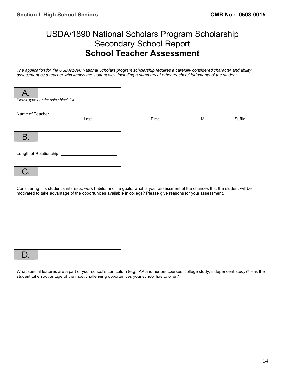#### USDA/1890 National Scholars Program Scholarship Secondary School Report **School Teacher Assessment**

*The application for the USDA/1890 National Scholars program scholarship requires a carefully considered character and ability assessment by a teacher who knows the student well, including a summary of other teachers' judgments of the student* 

|                 | Please type or print using black ink |       |    |        |
|-----------------|--------------------------------------|-------|----|--------|
| Name of Teacher | Last                                 | First | MI | Suffix |
| <b>B.</b>       |                                      |       |    |        |
|                 | Length of Relationship __________    |       |    |        |
| C.              |                                      |       |    |        |

Considering this student's interests, work habits, and life goals, what is your assessment of the chances that the student will be motivated to take advantage of the opportunities available in college? Please give reasons for your assessment.

|--|

What special features are a part of your school's curriculum (e.g., AP and honors courses, college study, independent study)? Has the student taken advantage of the most challenging opportunities your school has to offer?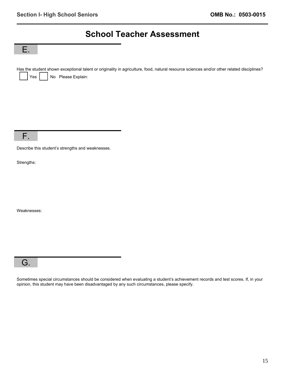#### **School Teacher Assessment**

E.

Has the student shown exceptional talent or originality in agriculture, food, natural resource sciences and/or other related disciplines? Yes | No Please Explain:

F.

Describe this student's strengths and weaknesses.

Strengths:

Weaknesses:

#### G.

Sometimes special circumstances should be considered when evaluating a student's achievement records and test scores. If, in your opinion, this student may have been disadvantaged by any such circumstances, please specify.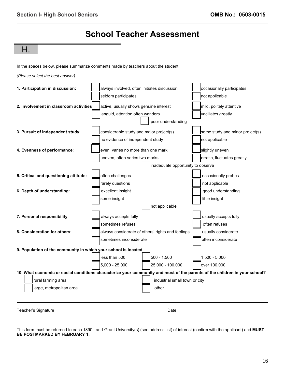#### **School Teacher Assessment**

#### H.

In the spaces below, please summarize comments made by teachers about the student:



| 1. Participation in discussion:                                 | always involved, often initiates discussion                                                                                | occasionally participates       |
|-----------------------------------------------------------------|----------------------------------------------------------------------------------------------------------------------------|---------------------------------|
|                                                                 | seldom participates                                                                                                        | not applicable                  |
| 2. Involvement in classroom activities                          | active, usually shows genuine interest                                                                                     | mild, politely attentive        |
|                                                                 | languid, attention often wanders                                                                                           | vacillates greatly              |
|                                                                 | poor understanding                                                                                                         |                                 |
| 3. Pursuit of independent study:                                | considerable study and major project(s)                                                                                    | some study and minor project(s) |
|                                                                 | no evidence of independent study                                                                                           | not applicable                  |
| 4. Evenness of performance:                                     | even, varies no more than one mark                                                                                         | slightly uneven                 |
|                                                                 | uneven, often varies two marks                                                                                             | erratic, fluctuates greatly     |
|                                                                 | inadequate opportunity to observe                                                                                          |                                 |
| 5. Critical and questioning attitude:                           | often challenges                                                                                                           | occasionally probes             |
|                                                                 | rarely questions                                                                                                           | not applicable                  |
| 6. Depth of understanding:                                      | excellent insight                                                                                                          | good understanding              |
|                                                                 | some insight                                                                                                               | little insight                  |
|                                                                 | not applicable                                                                                                             |                                 |
| 7. Personal responsibility:                                     | always accepts fully                                                                                                       | usually accepts fully           |
|                                                                 | sometimes refuses                                                                                                          | often refuses                   |
| 8. Consideration for others:                                    | always considerate of others' rights and feelings                                                                          | usually considerate             |
|                                                                 | sometimes inconsiderate                                                                                                    | often inconsiderate             |
| 9. Population of the community in which your school is located: |                                                                                                                            |                                 |
|                                                                 | $500 - 1,500$<br>less than 500                                                                                             | 1,500 - 5,000                   |
|                                                                 | 25,000 - 100,000<br>5,000 - 25,000                                                                                         | over 100,000                    |
|                                                                 | 10. What economic or social conditions characterize your community and most of the parents of the children in your school? |                                 |
| rural farming area                                              | industrial small town or city                                                                                              |                                 |
| large, metropolitan area                                        | other                                                                                                                      |                                 |
|                                                                 |                                                                                                                            |                                 |
| Teacher's Signature                                             | Date                                                                                                                       |                                 |

This form must be returned to each 1890 Land-Grant University(s) (see address list) of interest (confirm with the applicant) and **MUST BE POSTMARKED BY FEBRUARY 1.**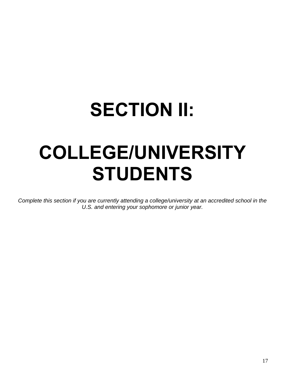# **SECTION II: COLLEGE/UNIVERSITY**

# **STUDENTS**

*Complete this section if you are currently attending a college/university at an accredited school in the U.S. and entering your sophomore or junior year.*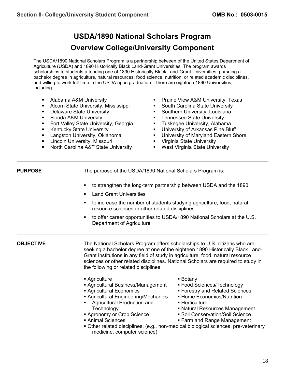#### **USDA/1890 National Scholars Program Overview College/University Component**

The USDA/1890 National Scholars Program is a partnership between of the United States Department of Agriculture (USDA) and 1890 Historically Black Land-Grant Universities. The program awards scholarships to students attending one of 1890 Historically Black Land-Grant Universities, pursuing a bachelor degree in agriculture, natural resources, food science, nutrition, or related academic disciplines, and willing to work full-time in the USDA upon graduation. There are eighteen 1890 Universities, including:

- **Alabama A&M University**
- **Alcorn State University, Mississippi**
- **-** Delaware State University
- **Florida A&M University**
- **Fort Valley State University, Georgia**
- **Kentucky State University**
- Langston University, Oklahoma
- **-** Lincoln University, Missouri
- North Carolina A&T State University
- Prairie View A&M University, Texas
- **South Carolina State University**
- **Southern University, Louisiana**
- **Tennessee State University**
- **Tuskegee University, Alabama**
- **University of Arkansas Pine Bluff**
- **University of Maryland Eastern Shore**
- **•** Virginia State University
- **West Virginia State University**

**PURPOSE** The purpose of the USDA/1890 National Scholars Program is:

- to strengthen the long-term partnership between USDA and the 1890
- Land Grant Universities
- to increase the number of students studying agriculture, food, natural resource sciences or other related disciplines
- to offer career opportunities to USDA/1890 National Scholars at the U.S. Department of Agriculture

**OBJECTIVE** The National Scholars Program offers scholarships to U.S. citizens who are seeking a bachelor degree at one of the eighteen 1890 Historically Black Land-Grant Institutions in any field of study in agriculture, food, natural resource sciences or other related disciplines. National Scholars are required to study in the following or related disciplines:

- Agriculture
- Agricultural Business/Management
- Agricultural Economics
- Agricultural Engineering/Mechanics
- **Agricultural Production and Technology**
- **Agronomy or Crop Science**
- Animal Sciences
- Botany
- Food Sciences/Technology
- Forestry and Related Sciences
- **Home Economics/Nutrition**
- **Horticulture**
- Natural Resources Management
- **Soil Conservation/Soil Science**
- **Farm and Range Management**
- Other related disciplines, (e.g., non-medical biological sciences, pre-veterinary medicine, computer science)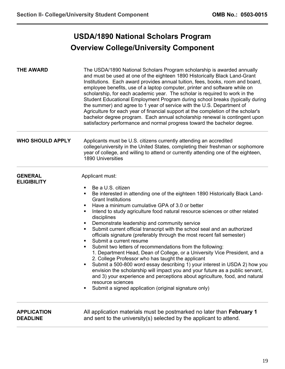#### **USDA/1890 National Scholars Program Overview College/University Component**

| <b>THE AWARD</b>                      | The USDA/1890 National Scholars Program scholarship is awarded annually<br>and must be used at one of the eighteen 1890 Historically Black Land-Grant<br>Institutions. Each award provides annual tuition, fees, books, room and board,<br>employee benefits, use of a laptop computer, printer and software while on<br>scholarship, for each academic year. The scholar is required to work in the<br>Student Educational Employment Program during school breaks (typically during<br>the summer) and agree to 1 year of service with the U.S. Department of<br>Agriculture for each year of financial support at the completion of the scholar's<br>bachelor degree program. Each annual scholarship renewal is contingent upon<br>satisfactory performance and normal progress toward the bachelor degree.                                                                                                                                                                                                                                                                                                   |
|---------------------------------------|-------------------------------------------------------------------------------------------------------------------------------------------------------------------------------------------------------------------------------------------------------------------------------------------------------------------------------------------------------------------------------------------------------------------------------------------------------------------------------------------------------------------------------------------------------------------------------------------------------------------------------------------------------------------------------------------------------------------------------------------------------------------------------------------------------------------------------------------------------------------------------------------------------------------------------------------------------------------------------------------------------------------------------------------------------------------------------------------------------------------|
| <b>WHO SHOULD APPLY</b>               | Applicants must be U.S. citizens currently attending an accredited<br>college/university in the United States, completing their freshman or sophomore<br>year of college, and willing to attend or currently attending one of the eighteen,<br>1890 Universities                                                                                                                                                                                                                                                                                                                                                                                                                                                                                                                                                                                                                                                                                                                                                                                                                                                  |
| <b>GENERAL</b><br><b>ELIGIBILITY</b>  | Applicant must:<br>Be a U.S. citizen<br>٠<br>Be interested in attending one of the eighteen 1890 Historically Black Land-<br>٠<br><b>Grant Institutions</b><br>Have a minimum cumulative GPA of 3.0 or better<br>٠<br>Intend to study agriculture food natural resource sciences or other related<br>٠<br>disciplines<br>Demonstrate leadership and community service<br>٠<br>Submit current official transcript with the school seal and an authorized<br>٠<br>officials signature (preferably through the most recent fall semester)<br>Submit a current resume<br>٠<br>Submit two letters of recommendations from the following:<br>٠<br>1. Department Head, Dean of College, or a University Vice President, and a<br>2. College Professor who has taught the applicant<br>Submit a 500-800 word essay describing 1) your interest in USDA 2) how you<br>٠<br>envision the scholarship will impact you and your future as a public servant,<br>and 3) your experience and perceptions about agriculture, food, and natural<br>resource sciences<br>Submit a signed application (original signature only)<br>٠ |
| <b>APPLICATION</b><br><b>DEADLINE</b> | All application materials must be postmarked no later than February 1<br>and sent to the university(s) selected by the applicant to attend.                                                                                                                                                                                                                                                                                                                                                                                                                                                                                                                                                                                                                                                                                                                                                                                                                                                                                                                                                                       |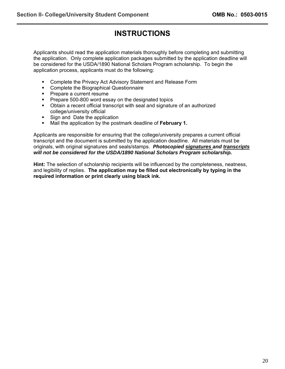#### **INSTRUCTIONS**

Applicants should read the application materials thoroughly before completing and submitting the application. Only complete application packages submitted by the application deadline will be considered for the USDA/1890 National Scholars Program scholarship. To begin the application process, applicants must do the following:

- **Complete the Privacy Act Advisory Statement and Release Form**
- **Complete the Biographical Questionnaire**
- **Prepare a current resume**
- Prepare 500-800 word essay on the designated topics
- Obtain a recent official transcript with seal and signature of an authorized college/university official
- Sign and Date the application
- Mail the application by the postmark deadline of **February 1.**

Applicants are responsible for ensuring that the college/university prepares a current official transcript and the document is submitted by the application deadline. All materials must be originals, with original signatures and seals/stamps. *Photocopied signatures and transcripts will not be considered for the USDA/1890 National Scholars Program scholarship.*

**Hint:** The selection of scholarship recipients will be influenced by the completeness, neatness, and legibility of replies. **The application may be filled out electronically by typing in the required information or print clearly using black ink.**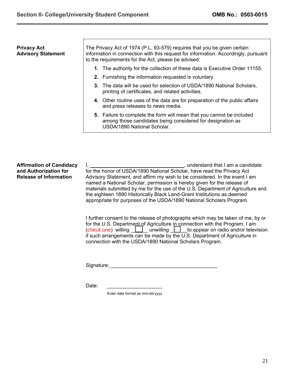| <b>Privacy Act</b><br><b>Advisory Statement</b> | The Privacy Act of 1974 (P.L. 93-579) requires that you be given certain<br>information in connection with this request for information. Accordingly, pursuant<br>to the requirements for the Act, please be advised: |
|-------------------------------------------------|-----------------------------------------------------------------------------------------------------------------------------------------------------------------------------------------------------------------------|
|                                                 | 1. The authority for the collection of these data is Executive Order 11155.                                                                                                                                           |
|                                                 | 2. Furnishing the information requested is voluntary.                                                                                                                                                                 |
|                                                 | 3. The data will be used for selection of USDA/1890 National Scholars,<br>printing of certificates, and related activities.                                                                                           |
|                                                 | 4. Other routine uses of the data are for preparation of the public affairs<br>and press releases to news media.                                                                                                      |
|                                                 | 5. Failure to complete the form will mean that you cannot be included<br>among those candidates being considered for designation as<br>USDA/1890 National Scholar.                                                    |
|                                                 |                                                                                                                                                                                                                       |

**Affirmation of Candidacy and Authorization for Release of Information**  I, \_\_\_\_\_\_\_\_\_\_\_\_\_\_\_\_\_\_\_\_\_\_\_\_\_\_\_\_\_\_\_\_\_, understand that I am a candidate for the honor of USDA/1890 National Scholar, have read the Privacy Act Advisory Statement, and affirm my wish to be considered. In the event I am named a National Scholar, permission is hereby given for the release of materials submitted by me for the use of the U.S. Department of Agriculture and the eighteen 1890 Historically Black Land-Grant Institutions as deemed appropriate for purposes of the USDA/1890 National Scholars Program.

> I further consent to the release of photographs which may be taken of me, by or for the U.S. Department of Agriculture in connection with the Program. I am (*check one*) willing <u>and unwilling</u> to appear on radio and/or television if such arrangements can be made by the U.S. Department of Agriculture in connection with the USDA/1890 National Scholars Program.

Signature: \_\_\_\_\_\_\_\_\_\_\_\_\_\_\_\_\_\_\_\_\_\_\_\_\_\_\_\_\_\_\_\_\_\_\_\_\_

Date:

Enter date format as mm-dd-yyyy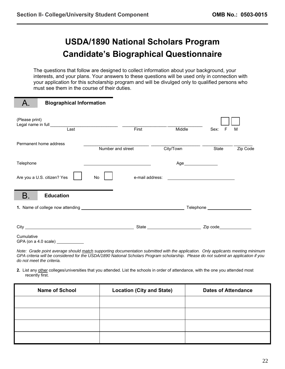#### **USDA/1890 National Scholars Program Candidate's Biographical Questionnaire**

The questions that follow are designed to collect information about your background, your interests, and your plans. Your answers to these questions will be used only in connection with your application for this scholarship program and will be divulged only to qualified persons who must see them in the course of their duties.

|                                    | <b>Biographical Information</b> |                                                                                           |                 |           |           |          |
|------------------------------------|---------------------------------|-------------------------------------------------------------------------------------------|-----------------|-----------|-----------|----------|
| (Please print)                     | Legal name in full Last         |                                                                                           | First           | Middle    | Sex:<br>F | М        |
|                                    | Permanent home address          | Number and street                                                                         |                 | City/Town | State     | Zip Code |
| Telephone                          |                                 | the control of the control of the control of the control of the control of the control of |                 |           |           |          |
|                                    | Are you a U.S. citizen? Yes     | No                                                                                        | e-mail address: |           |           |          |
| Β.                                 | <b>Education</b>                |                                                                                           |                 |           |           |          |
|                                    |                                 |                                                                                           |                 |           |           |          |
|                                    |                                 |                                                                                           |                 |           |           |          |
| Cumulative<br>GPA (on a 4.0 scale) |                                 |                                                                                           |                 |           |           |          |

*Note: Grade point average should match supporting documentation submitted with the application. Only applicants meeting minimum GPA criteria will be considered for the USDA/1890 National Scholars Program scholarship. Please do not submit an application if you do not meet the criteria.* 

**2.** List any other colleges/universities that you attended. List the schools in order of attendance, with the one you attended most recently first.

| <b>Name of School</b> | <b>Location (City and State)</b> | <b>Dates of Attendance</b> |
|-----------------------|----------------------------------|----------------------------|
|                       |                                  |                            |
|                       |                                  |                            |
|                       |                                  |                            |
|                       |                                  |                            |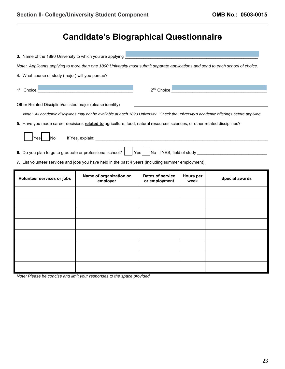#### **Candidate's Biographical Questionnaire**

| 3. Name of the 1890 University to which you are applying                                                                        |                                                                                                                                         |                                          |                          |                       |
|---------------------------------------------------------------------------------------------------------------------------------|-----------------------------------------------------------------------------------------------------------------------------------------|------------------------------------------|--------------------------|-----------------------|
| Note: Applicants applying to more than one 1890 University must submit separate applications and send to each school of choice. |                                                                                                                                         |                                          |                          |                       |
| 4. What course of study (major) will you pursue?                                                                                |                                                                                                                                         |                                          |                          |                       |
| 1 <sup>st</sup> Choice                                                                                                          |                                                                                                                                         | $2^{nd}$ Choice                          |                          |                       |
| Other Related Discipline/unlisted major (please identify)                                                                       |                                                                                                                                         |                                          |                          |                       |
|                                                                                                                                 | Note: All academic disciplines may not be available at each 1890 University. Check the university's academic offerings before applying. |                                          |                          |                       |
|                                                                                                                                 | 5. Have you made career decisions related to agriculture, food, natural resources sciences, or other related disciplines?               |                                          |                          |                       |
| <b>No</b><br>Yesl                                                                                                               |                                                                                                                                         |                                          |                          |                       |
|                                                                                                                                 | 6. Do you plan to go to graduate or professional school?   Yes   No If YES, field of study                                              |                                          |                          |                       |
| 7. List volunteer services and jobs you have held in the past 4 years (including summer employment).                            |                                                                                                                                         |                                          |                          |                       |
|                                                                                                                                 |                                                                                                                                         |                                          |                          |                       |
| Volunteer services or jobs                                                                                                      | Name of organization or<br>employer                                                                                                     | <b>Dates of service</b><br>or employment | <b>Hours</b> per<br>week | <b>Special awards</b> |
|                                                                                                                                 |                                                                                                                                         |                                          |                          |                       |
|                                                                                                                                 |                                                                                                                                         |                                          |                          |                       |
|                                                                                                                                 |                                                                                                                                         |                                          |                          |                       |
|                                                                                                                                 |                                                                                                                                         |                                          |                          |                       |
|                                                                                                                                 |                                                                                                                                         |                                          |                          |                       |
|                                                                                                                                 |                                                                                                                                         |                                          |                          |                       |
|                                                                                                                                 |                                                                                                                                         |                                          |                          |                       |

*Note: Please be concise and limit your responses to the space provided.*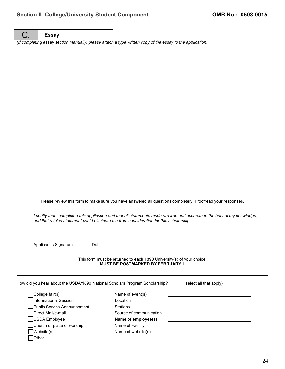#### C. **Essay**

*(If completing essay section manually, please attach a type written copy of the essay to the application)* 

Please review this form to make sure you have answered all questions completely. Proofread your responses.

*I certify that I completed this application and that all statements made are true and accurate to the best of my knowledge, and that a false statement could eliminate me from consideration for this scholarship.* 

 $\overline{a}$ Applicant's Signature Date

L

This form must be returned to each 1890 University(s) of your choice. **MUST BE POSTMARKED BY FEBRUARY 1** 

How did you hear about the USDA/1890 National Scholars Program Scholarship? (select all that apply) **College fair(s)** Name of event(s) Informational Session **Location Public Service Announcement** Stations Direct Mail/e-mail Source of communication USDA Employee **Name of employee(s)** □Church or place of worship Name of Facility ■ Website(s) Name of website(s) **Other**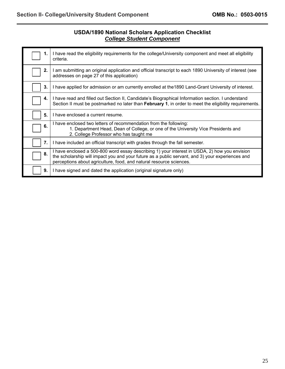#### **USDA/1890 National Scholars Application Checklist**  *College Student Component*

| 1. | I have read the eligibility requirements for the college/University component and meet all eligibility<br>criteria.                                                                                                                                                      |
|----|--------------------------------------------------------------------------------------------------------------------------------------------------------------------------------------------------------------------------------------------------------------------------|
| 2. | I am submitting an original application and official transcript to each 1890 University of interest (see<br>addresses on page 27 of this application)                                                                                                                    |
| 3. | I have applied for admission or am currently enrolled at the 1890 Land-Grant University of interest.                                                                                                                                                                     |
| 4. | I have read and filled out Section II, Candidate's Biographical Information section. I understand<br>Section II must be postmarked no later than February 1, in order to meet the eligibility requirements.                                                              |
| 5. | I have enclosed a current resume.                                                                                                                                                                                                                                        |
| 6. | I have enclosed two letters of recommendation from the following:<br>1. Department Head, Dean of College, or one of the University Vice Presidents and<br>2. College Professor who has taught me                                                                         |
| 7. | I have included an official transcript with grades through the fall semester.                                                                                                                                                                                            |
| 8. | I have enclosed a 500-800 word essay describing 1) your interest in USDA, 2) how you envision<br>the scholarship will impact you and your future as a public servant, and 3) your experiences and<br>perceptions about agriculture, food, and natural resource sciences. |
| 9. | I have signed and dated the application (original signature only)                                                                                                                                                                                                        |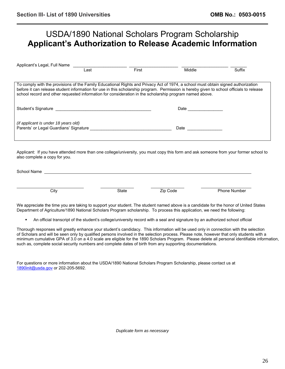#### USDA/1890 National Scholars Program Scholarship **Applicant's Authorization to Release Academic Information**

| Applicant's Legal, Full Name                                                                                                                                                                                                                                                                                                                                                             | ∟ast | First | Middle                                                                                                          | Suffix |  |
|------------------------------------------------------------------------------------------------------------------------------------------------------------------------------------------------------------------------------------------------------------------------------------------------------------------------------------------------------------------------------------------|------|-------|-----------------------------------------------------------------------------------------------------------------|--------|--|
| To comply with the provisions of the Family Educational Rights and Privacy Act of 1974, a school must obtain signed authorization<br>before it can release student information for use in this scholarship program. Permission is hereby given to school officials to release<br>school record and other requested information for consideration in the scholarship program named above. |      |       |                                                                                                                 |        |  |
| Student's Signature experience of the student's Signature                                                                                                                                                                                                                                                                                                                                |      |       | Date and the state of the state of the state of the state of the state of the state of the state of the state o |        |  |
| (if applicant is under 18 years old)<br>Parents' or Legal Guardians' Signature                                                                                                                                                                                                                                                                                                           |      |       | Date                                                                                                            |        |  |

Applicant: If you have attended more than one college/university, you must copy this form and ask someone from your former school to also complete a copy for you.

| School Name |              |          |                     |
|-------------|--------------|----------|---------------------|
|             |              |          |                     |
|             |              |          |                     |
| City        | <b>State</b> | Zin Code | <b>Phone Number</b> |

We appreciate the time you are taking to support your student. The student named above is a candidate for the honor of United States Department of Agriculture/1890 National Scholars Program scholarship. To process this application, we need the following:

An official transcript of the student's college/university record with a seal and signature by an authorized school official

Thorough responses will greatly enhance your student's candidacy. This information will be used only in connection with the selection of Scholars and will be seen only by qualified persons involved in the selection process. Please note, however that only students with a minimum cumulative GPA of 3.0 on a 4.0 scale are eligible for the 1890 Scholars Program. Please delete all personal identifiable information, such as, complete social security numbers and complete dates of birth from any supporting documentations.

For questions or more information about the USDA/1890 National Scholars Program Scholarship, please contact us at [1890init@usda.gov](mailto:1890init@usda.gov) or 202-205-5692.

*Duplicate form as necessary*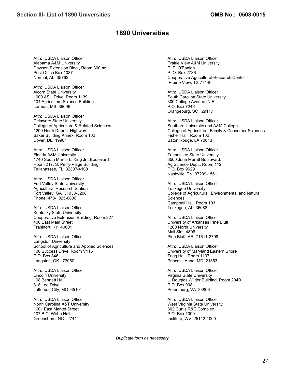#### **1890 Universities**

Attn: USDA Liaison Officer Alabama A&M University Dawson Extension Bldg., Room 300 **or** Post Office Box 1087 Normal, AL 35762

Attn: USDA Liaison Officer Alcorn State University 1000 ASU Drive, Room 1139 104 Agriculture Science Building. Lorman, MS 39096

Attn: USDA Liaison Officer Delaware State University College of Agriculture & Related Sciences 1200 North Dupont Highway Baker Building Annex, Room 102 Dover, DE 19901

Attn: USDA Liaison Officer Florida A&M University 1740 South Martin L. King Jr., Boulevard Room 217, S. Perry-Paige Building. Tallahassee, FL 32307-4100

Attn: USDA Liaison Officer Fort Valley State University Agricultural Research Station Fort Valley, GA 31030-3298 Phone: 478- 825-6806

Attn: USDA Liaison Officer Kentucky State University Cooperative Extension Building, Room 227 400 East Main Street Frankfort, KY 40601

Attn: USDA Liaison Officer Langston University School of Agriculture and Applied Sciences 100 Success Drive, Room V115 P.O. Box 846 Langston, OK 73050

Attn: USDA Liaison Officer Lincoln University 108 Bennett Hall 818 Lee Drive. Jefferson City, MO 65101

Attn: USDA Liaison Officer North Carolina A&T University 1601 East Market Street 107 B.C. Webb Hall Greensboro, NC 27411

Attn: USDA Liaison Officer Prairie View A&M University E. E. O'Banion P. O. Box 2736 Cooperative Agricultural Research Center .Prairie View, TX 77446

Attn: USDA Liaison Officer South Carolina State University 300 College Avenue, N.E. P.O. Box 7246 Orangeburg, SC 29117

Attn: USDA Liaison Officer Southern University and A&M College College of Agriculture, Family & Consumer Sciences Fisher Hall, Room 102 Baton Rouge, LA 70813

Attn: USDA Liaison Officer Tennessee State University 3500 John Merritt Boulevard. Ag Science Dept., Room 112 P.O. Box 9629 Nashville, TN 37209-1561

Attn: USDA Liaison Officer Tuskegee University College of Agricultural, Environmental and Natural **Sciences** Campbell Hall, Room 103 Tuskegee, AL 36088

Attn: USDA Liaison Officer University of Arkansas Pine Bluff 1200 North University Mail Slot: 4806 Pine Bluff, AR 71611-2799

Attn: USDA Liaison Officer University of Maryland Eastern Shore Trigg Hall, Room 1137 Princess Anne, MD 21853

Attn: USDA Liaison Officer Virginia State University L. Douglas Wilder Building, Room 204B P.O. Box 9081 Petersburg, VA 23806

Attn: USDA Liaison Officer West Virginia State University 302 Curtis R&E Complex P.O. Box 1000 Institute, WV 25112-1000

*Duplicate form as necessary*